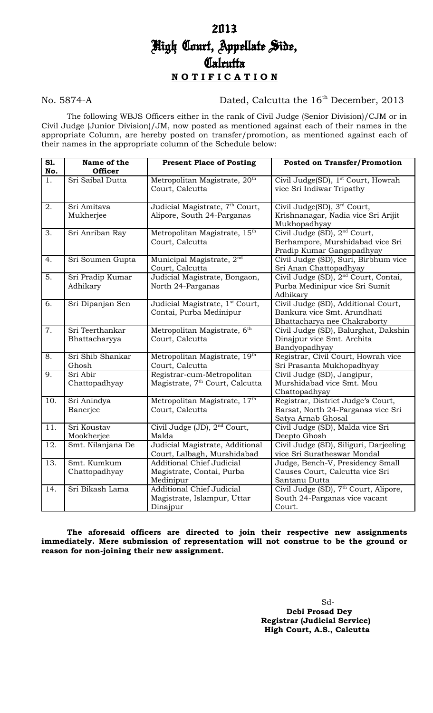### No. 5874-A Dated, Calcutta the 16<sup>th</sup> December, 2013

The following WBJS Officers either in the rank of Civil Judge (Senior Division)/CJM or in Civil Judge (Junior Division)/JM, now posted as mentioned against each of their names in the appropriate Column, are hereby posted on transfer/promotion, as mentioned against each of their names in the appropriate column of the Schedule below:

| S1.<br>No.       | Name of the<br><b>Officer</b>    | <b>Present Place of Posting</b>                                             | <b>Posted on Transfer/Promotion</b>                                                                       |
|------------------|----------------------------------|-----------------------------------------------------------------------------|-----------------------------------------------------------------------------------------------------------|
| $\overline{1}$ . | Sri Saibal Dutta                 | Metropolitan Magistrate, 20 <sup>th</sup><br>Court, Calcutta                | Civil Judge(SD), 1 <sup>st</sup> Court, Howrah<br>vice Sri Indiwar Tripathy                               |
| 2.               | Sri Amitava<br>Mukherjee         | Judicial Magistrate, 7 <sup>th</sup> Court,<br>Alipore, South 24-Parganas   | Civil Judge(SD), 3 <sup>rd</sup> Court,<br>Krishnanagar, Nadia vice Sri Arijit<br>Mukhopadhyay            |
| 3.               | Sri Anriban Ray                  | Metropolitan Magistrate, 15 <sup>th</sup><br>Court, Calcutta                | Civil Judge (SD), 2 <sup>nd</sup> Court,<br>Berhampore, Murshidabad vice Sri<br>Pradip Kumar Gangopadhyay |
| 4.               | Sri Soumen Gupta                 | Municipal Magistrate, 2 <sup>nd</sup><br>Court, Calcutta                    | Civil Judge (SD), Suri, Birbhum vice<br>Sri Anan Chattopadhyay                                            |
| $\overline{5}$ . | Sri Pradip Kumar<br>Adhikary     | Judicial Magistrate, Bongaon,<br>North 24-Parganas                          | Civil Judge (SD), 2 <sup>nd</sup> Court, Contai,<br>Purba Medinipur vice Sri Sumit<br>Adhikary            |
| 6.               | Sri Dipanjan Sen                 | Judicial Magistrate, 1 <sup>st</sup> Court,<br>Contai, Purba Medinipur      | Civil Judge (SD), Additional Court,<br>Bankura vice Smt. Arundhati<br>Bhattacharya nee Chakraborty        |
| 7.               | Sri Teerthankar<br>Bhattacharyya | Metropolitan Magistrate, 6th<br>Court, Calcutta                             | Civil Judge (SD), Balurghat, Dakshin<br>Dinajpur vice Smt. Archita<br>Bandyopadhyay                       |
| 8.               | Sri Shib Shankar<br>Ghosh        | Metropolitan Magistrate, 19th<br>Court, Calcutta                            | Registrar, Civil Court, Howrah vice<br>Sri Prasanta Mukhopadhyay                                          |
| $\overline{9}$ . | Sri Abir<br>Chattopadhyay        | Registrar-cum-Metropolitan<br>Magistrate, 7 <sup>th</sup> Court, Calcutta   | Civil Judge (SD), Jangipur,<br>Murshidabad vice Smt. Mou<br>Chattopadhyay                                 |
| 10.              | Sri Anindya<br>Banerjee          | Metropolitan Magistrate, 17th<br>Court, Calcutta                            | Registrar, District Judge's Court,<br>Barsat, North 24-Parganas vice Sri<br>Satya Arnab Ghosal            |
| 11.              | Sri Koustav<br>Mookherjee        | Civil Judge (JD), 2 <sup>nd</sup> Court,<br>Malda                           | Civil Judge (SD), Malda vice Sri<br>Deepto Ghosh                                                          |
| 12.              | Smt. Nilanjana De                | Judicial Magistrate, Additional<br>Court, Lalbagh, Murshidabad              | Civil Judge (SD), Siliguri, Darjeeling<br>vice Sri Suratheswar Mondal                                     |
| 13.              | Smt. Kumkum<br>Chattopadhyay     | <b>Additional Chief Judicial</b><br>Magistrate, Contai, Purba<br>Medinipur  | Judge, Bench-V, Presidency Small<br>Causes Court, Calcutta vice Sri<br>Santanu Dutta                      |
| 14.              | Sri Bikash Lama                  | <b>Additional Chief Judicial</b><br>Magistrate, Islampur, Uttar<br>Dinajpur | Civil Judge (SD), 7 <sup>th</sup> Court, Alipore,<br>South 24-Parganas vice vacant<br>Court.              |

**The aforesaid officers are directed to join their respective new assignments immediately. Mere submission of representation will not construe to be the ground or reason for non-joining their new assignment.** 

> Sd-  **Debi Prosad Dey Registrar (Judicial Service) High Court, A.S., Calcutta**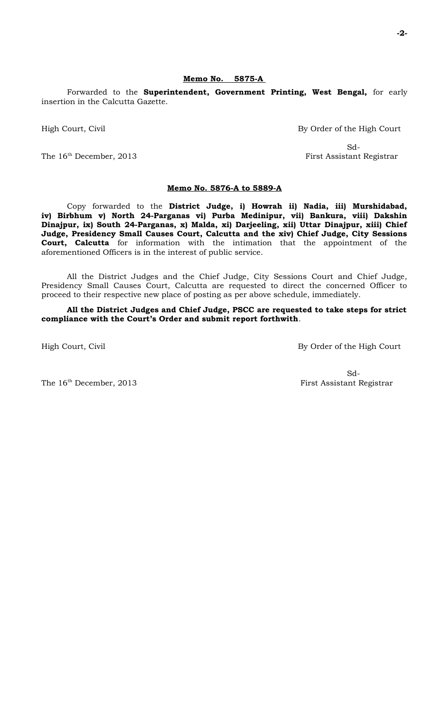#### **Memo No. 5875-A**

Forwarded to the **Superintendent, Government Printing, West Bengal,** for early insertion in the Calcutta Gazette.

High Court, Civil By Order of the High Court

The 16<sup>th</sup> December, 2013 First Assistant Registrar

Sd-

#### **Memo No. 5876-A to 5889-A**

Copy forwarded to the **District Judge, i) Howrah ii) Nadia, iii) Murshidabad, iv) Birbhum v) North 24-Parganas vi) Purba Medinipur, vii) Bankura, viii) Dakshin Dinajpur, ix) South 24-Parganas, x) Malda, xi) Darjeeling, xii) Uttar Dinajpur, xiii) Chief Judge, Presidency Small Causes Court, Calcutta and the xiv) Chief Judge, City Sessions Court, Calcutta** for information with the intimation that the appointment of the aforementioned Officers is in the interest of public service.

All the District Judges and the Chief Judge, City Sessions Court and Chief Judge, Presidency Small Causes Court, Calcutta are requested to direct the concerned Officer to proceed to their respective new place of posting as per above schedule, immediately.

**All the District Judges and Chief Judge, PSCC are requested to take steps for strict compliance with the Court's Order and submit report forthwith**.

High Court, Civil By Order of the High Court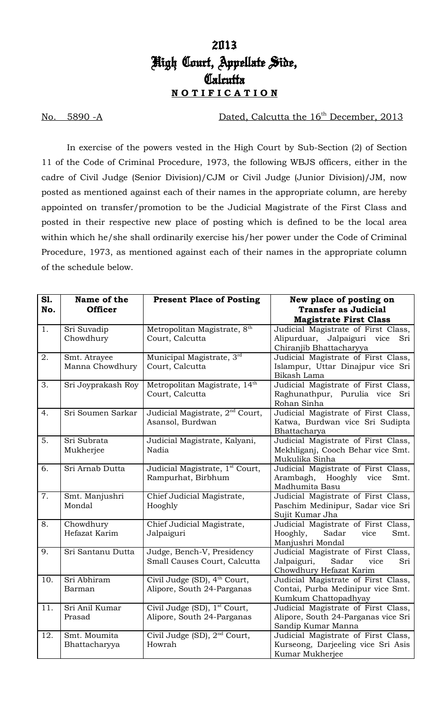No. 5890 -A Dated, Calcutta the 16<sup>th</sup> December, 2013

In exercise of the powers vested in the High Court by Sub-Section (2) of Section 11 of the Code of Criminal Procedure, 1973, the following WBJS officers, either in the cadre of Civil Judge (Senior Division)/CJM or Civil Judge (Junior Division)/JM, now posted as mentioned against each of their names in the appropriate column, are hereby appointed on transfer/promotion to be the Judicial Magistrate of the First Class and posted in their respective new place of posting which is defined to be the local area within which he/she shall ordinarily exercise his/her power under the Code of Criminal Procedure, 1973, as mentioned against each of their names in the appropriate column of the schedule below.

| S1.<br>No. | Name of the<br><b>Officer</b>   | <b>Present Place of Posting</b>                                        | New place of posting on<br><b>Transfer as Judicial</b>                                                |
|------------|---------------------------------|------------------------------------------------------------------------|-------------------------------------------------------------------------------------------------------|
|            |                                 |                                                                        | <b>Magistrate First Class</b>                                                                         |
| 1.         | Sri Suvadip<br>Chowdhury        | Metropolitan Magistrate, 8th<br>Court, Calcutta                        | Judicial Magistrate of First Class,<br>Alipurduar, Jalpaiguri vice<br>Sri<br>Chiranjib Bhattacharyya  |
| 2.         | Smt. Atrayee<br>Manna Chowdhury | Municipal Magistrate, 3rd<br>Court, Calcutta                           | Judicial Magistrate of First Class,<br>Islampur, Uttar Dinajpur vice Sri<br>Bikash Lama               |
| 3.         | Sri Joyprakash Roy              | Metropolitan Magistrate, 14th<br>Court, Calcutta                       | Judicial Magistrate of First Class,<br>Raghunathpur, Purulia vice Sri<br>Rohan Sinha                  |
| 4.         | Sri Soumen Sarkar               | Judicial Magistrate, 2 <sup>nd</sup> Court,<br>Asansol, Burdwan        | Judicial Magistrate of First Class,<br>Katwa, Burdwan vice Sri Sudipta<br>Bhattacharya                |
| 5.         | Sri Subrata<br>Mukherjee        | Judicial Magistrate, Kalyani,<br>Nadia                                 | Judicial Magistrate of First Class,<br>Mekhliganj, Cooch Behar vice Smt.<br>Mukulika Sinha            |
| 6.         | Sri Arnab Dutta                 | Judicial Magistrate, 1 <sup>st</sup> Court,<br>Rampurhat, Birbhum      | Judicial Magistrate of First Class,<br>Arambagh, Hooghly vice<br>Smt.<br>Madhumita Basu               |
| 7.         | Smt. Manjushri<br>Mondal        | Chief Judicial Magistrate,<br>Hooghly                                  | Judicial Magistrate of First Class,<br>Paschim Medinipur, Sadar vice Sri<br>Sujit Kumar Jha           |
| 8.         | Chowdhury<br>Hefazat Karim      | Chief Judicial Magistrate,<br>Jalpaiguri                               | Judicial Magistrate of First Class,<br>Hooghly,<br>Sadar<br>vice<br>Smt.<br>Manjushri Mondal          |
| 9.         | Sri Santanu Dutta               | Judge, Bench-V, Presidency<br>Small Causes Court, Calcutta             | Judicial Magistrate of First Class,<br>Jalpaiguri,<br>Sadar<br>Sri<br>vice<br>Chowdhury Hefazat Karim |
| 10.        | Sri Abhiram<br>Barman           | Civil Judge (SD), 4 <sup>th</sup> Court,<br>Alipore, South 24-Parganas | Judicial Magistrate of First Class,<br>Contai, Purba Medinipur vice Smt.<br>Kumkum Chattopadhyay      |
| 11.        | Sri Anil Kumar<br>Prasad        | Civil Judge (SD), 1 <sup>st</sup> Court,<br>Alipore, South 24-Parganas | Judicial Magistrate of First Class,<br>Alipore, South 24-Parganas vice Sri<br>Sandip Kumar Manna      |
| 12.        | Smt. Moumita<br>Bhattacharyya   | Civil Judge (SD), 2 <sup>nd</sup> Court,<br>Howrah                     | Judicial Magistrate of First Class,<br>Kurseong, Darjeeling vice Sri Asis<br>Kumar Mukherjee          |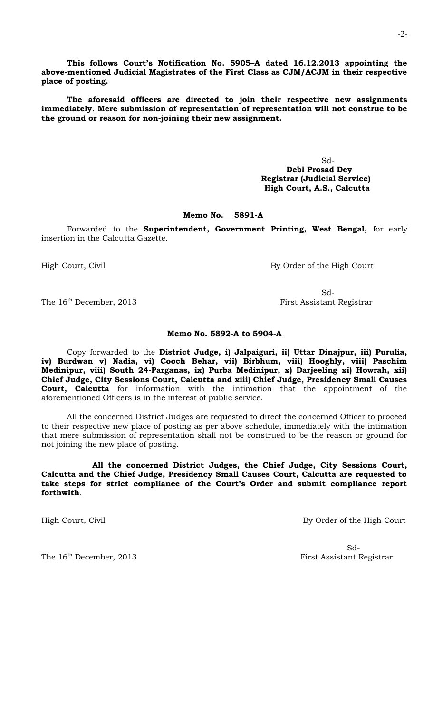**This follows Court's Notification No. 5905–A dated 16.12.2013 appointing the above-mentioned Judicial Magistrates of the First Class as CJM/ACJM in their respective place of posting.** 

**The aforesaid officers are directed to join their respective new assignments immediately. Mere submission of representation of representation will not construe to be the ground or reason for non-joining their new assignment.** 

> Sd-  **Debi Prosad Dey Registrar (Judicial Service) High Court, A.S., Calcutta**

### **Memo No. 5891-A**

Forwarded to the **Superintendent, Government Printing, West Bengal,** for early insertion in the Calcutta Gazette.

High Court, Civil By Order of the High Court

Sd-The 16<sup>th</sup> December, 2013 First Assistant Registrar

#### **Memo No. 5892-A to 5904-A**

Copy forwarded to the **District Judge, i) Jalpaiguri, ii) Uttar Dinajpur, iii) Purulia, iv) Burdwan v) Nadia, vi) Cooch Behar, vii) Birbhum, viii) Hooghly, viii) Paschim Medinipur, viii) South 24-Parganas, ix) Purba Medinipur, x) Darjeeling xi) Howrah, xii) Chief Judge, City Sessions Court, Calcutta and xiii) Chief Judge, Presidency Small Causes Court, Calcutta** for information with the intimation that the appointment of the aforementioned Officers is in the interest of public service.

All the concerned District Judges are requested to direct the concerned Officer to proceed to their respective new place of posting as per above schedule, immediately with the intimation that mere submission of representation shall not be construed to be the reason or ground for not joining the new place of posting.

**All the concerned District Judges, the Chief Judge, City Sessions Court, Calcutta and the Chief Judge, Presidency Small Causes Court, Calcutta are requested to take steps for strict compliance of the Court's Order and submit compliance report forthwith**.

High Court, Civil By Order of the High Court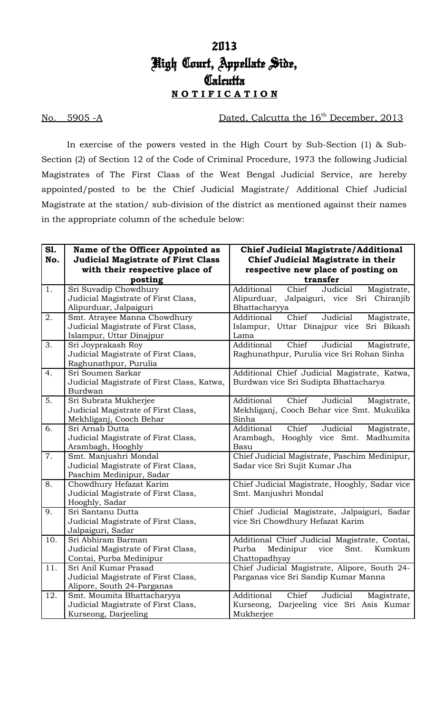No. 5905 -A Dated, Calcutta the 16th December, 2013

In exercise of the powers vested in the High Court by Sub-Section (1) & Sub-Section (2) of Section 12 of the Code of Criminal Procedure, 1973 the following Judicial Magistrates of The First Class of the West Bengal Judicial Service, are hereby appointed/posted to be the Chief Judicial Magistrate/ Additional Chief Judicial Magistrate at the station/ sub-division of the district as mentioned against their names in the appropriate column of the schedule below:

| transfer<br>posting<br>1.<br>Additional<br>Chief<br>Sri Suvadip Chowdhury<br>Judicial<br>Magistrate,<br>Judicial Magistrate of First Class,<br>Alipurduar,<br>Jalpaiguri, vice Sri Chiranjib<br>Alipurduar, Jalpaiguri<br>Bhattacharyya<br>2.<br>Additional<br>Smt. Atrayee Manna Chowdhury<br>Chief<br>Judicial<br>Magistrate,<br>Judicial Magistrate of First Class,<br>Islampur, Uttar Dinajpur vice<br>Sri Bikash<br>Islampur, Uttar Dinajpur<br>Lama<br>Chief<br>3.<br>Additional<br>Judicial<br>Sri Joyprakash Roy<br>Magistrate,<br>Judicial Magistrate of First Class,<br>Raghunathpur, Purulia vice Sri Rohan Sinha<br>Raghunathpur, Purulia<br>4.<br>Sri Soumen Sarkar<br>Additional Chief Judicial Magistrate, Katwa,<br>Judicial Magistrate of First Class, Katwa,<br>Burdwan vice Sri Sudipta Bhattacharya<br>Burdwan<br>5.<br>Sri Subrata Mukherjee<br>Additional<br>Chief<br>Judicial<br>Magistrate,<br>Judicial Magistrate of First Class,<br>Mekhliganj, Cooch Behar vice Smt. Mukulika<br>Mekhliganj, Cooch Behar<br>Sinha<br>6.<br>Chief<br>Sri Arnab Dutta<br>Additional<br>Judicial<br>Magistrate,<br>Judicial Magistrate of First Class,<br>Hooghly vice Smt.<br>Arambagh,<br>Madhumita<br>Arambagh, Hooghly<br>Basu<br>7.<br>Smt. Manjushri Mondal<br>Chief Judicial Magistrate, Paschim Medinipur,<br>Judicial Magistrate of First Class,<br>Sadar vice Sri Sujit Kumar Jha<br>Paschim Medinipur, Sadar<br>8.<br>Chowdhury Hefazat Karim<br>Chief Judicial Magistrate, Hooghly, Sadar vice<br>Judicial Magistrate of First Class,<br>Smt. Manjushri Mondal<br>Hooghly, Sadar<br>9.<br>Sri Santanu Dutta<br>Chief Judicial Magistrate, Jalpaiguri, Sadar<br>Judicial Magistrate of First Class,<br>vice Sri Chowdhury Hefazat Karim<br>Jalpaiguri, Sadar<br>10.<br>Sri Abhiram Barman<br>Additional Chief Judicial Magistrate, Contai,<br>Judicial Magistrate of First Class,<br>Purba<br>Medinipur | S1.<br>No. | Name of the Officer Appointed as<br><b>Judicial Magistrate of First Class</b><br>with their respective place of | <b>Chief Judicial Magistrate/Additional</b><br>Chief Judicial Magistrate in their<br>respective new place of posting on |
|----------------------------------------------------------------------------------------------------------------------------------------------------------------------------------------------------------------------------------------------------------------------------------------------------------------------------------------------------------------------------------------------------------------------------------------------------------------------------------------------------------------------------------------------------------------------------------------------------------------------------------------------------------------------------------------------------------------------------------------------------------------------------------------------------------------------------------------------------------------------------------------------------------------------------------------------------------------------------------------------------------------------------------------------------------------------------------------------------------------------------------------------------------------------------------------------------------------------------------------------------------------------------------------------------------------------------------------------------------------------------------------------------------------------------------------------------------------------------------------------------------------------------------------------------------------------------------------------------------------------------------------------------------------------------------------------------------------------------------------------------------------------------------------------------------------------------------------------------------------------------------------------------------------------------|------------|-----------------------------------------------------------------------------------------------------------------|-------------------------------------------------------------------------------------------------------------------------|
|                                                                                                                                                                                                                                                                                                                                                                                                                                                                                                                                                                                                                                                                                                                                                                                                                                                                                                                                                                                                                                                                                                                                                                                                                                                                                                                                                                                                                                                                                                                                                                                                                                                                                                                                                                                                                                                                                                                            |            |                                                                                                                 |                                                                                                                         |
|                                                                                                                                                                                                                                                                                                                                                                                                                                                                                                                                                                                                                                                                                                                                                                                                                                                                                                                                                                                                                                                                                                                                                                                                                                                                                                                                                                                                                                                                                                                                                                                                                                                                                                                                                                                                                                                                                                                            |            |                                                                                                                 |                                                                                                                         |
|                                                                                                                                                                                                                                                                                                                                                                                                                                                                                                                                                                                                                                                                                                                                                                                                                                                                                                                                                                                                                                                                                                                                                                                                                                                                                                                                                                                                                                                                                                                                                                                                                                                                                                                                                                                                                                                                                                                            |            |                                                                                                                 |                                                                                                                         |
|                                                                                                                                                                                                                                                                                                                                                                                                                                                                                                                                                                                                                                                                                                                                                                                                                                                                                                                                                                                                                                                                                                                                                                                                                                                                                                                                                                                                                                                                                                                                                                                                                                                                                                                                                                                                                                                                                                                            |            |                                                                                                                 |                                                                                                                         |
|                                                                                                                                                                                                                                                                                                                                                                                                                                                                                                                                                                                                                                                                                                                                                                                                                                                                                                                                                                                                                                                                                                                                                                                                                                                                                                                                                                                                                                                                                                                                                                                                                                                                                                                                                                                                                                                                                                                            |            |                                                                                                                 |                                                                                                                         |
|                                                                                                                                                                                                                                                                                                                                                                                                                                                                                                                                                                                                                                                                                                                                                                                                                                                                                                                                                                                                                                                                                                                                                                                                                                                                                                                                                                                                                                                                                                                                                                                                                                                                                                                                                                                                                                                                                                                            |            |                                                                                                                 |                                                                                                                         |
|                                                                                                                                                                                                                                                                                                                                                                                                                                                                                                                                                                                                                                                                                                                                                                                                                                                                                                                                                                                                                                                                                                                                                                                                                                                                                                                                                                                                                                                                                                                                                                                                                                                                                                                                                                                                                                                                                                                            |            |                                                                                                                 |                                                                                                                         |
|                                                                                                                                                                                                                                                                                                                                                                                                                                                                                                                                                                                                                                                                                                                                                                                                                                                                                                                                                                                                                                                                                                                                                                                                                                                                                                                                                                                                                                                                                                                                                                                                                                                                                                                                                                                                                                                                                                                            |            |                                                                                                                 |                                                                                                                         |
|                                                                                                                                                                                                                                                                                                                                                                                                                                                                                                                                                                                                                                                                                                                                                                                                                                                                                                                                                                                                                                                                                                                                                                                                                                                                                                                                                                                                                                                                                                                                                                                                                                                                                                                                                                                                                                                                                                                            |            |                                                                                                                 |                                                                                                                         |
|                                                                                                                                                                                                                                                                                                                                                                                                                                                                                                                                                                                                                                                                                                                                                                                                                                                                                                                                                                                                                                                                                                                                                                                                                                                                                                                                                                                                                                                                                                                                                                                                                                                                                                                                                                                                                                                                                                                            |            |                                                                                                                 |                                                                                                                         |
|                                                                                                                                                                                                                                                                                                                                                                                                                                                                                                                                                                                                                                                                                                                                                                                                                                                                                                                                                                                                                                                                                                                                                                                                                                                                                                                                                                                                                                                                                                                                                                                                                                                                                                                                                                                                                                                                                                                            |            |                                                                                                                 |                                                                                                                         |
|                                                                                                                                                                                                                                                                                                                                                                                                                                                                                                                                                                                                                                                                                                                                                                                                                                                                                                                                                                                                                                                                                                                                                                                                                                                                                                                                                                                                                                                                                                                                                                                                                                                                                                                                                                                                                                                                                                                            |            |                                                                                                                 |                                                                                                                         |
|                                                                                                                                                                                                                                                                                                                                                                                                                                                                                                                                                                                                                                                                                                                                                                                                                                                                                                                                                                                                                                                                                                                                                                                                                                                                                                                                                                                                                                                                                                                                                                                                                                                                                                                                                                                                                                                                                                                            |            |                                                                                                                 |                                                                                                                         |
|                                                                                                                                                                                                                                                                                                                                                                                                                                                                                                                                                                                                                                                                                                                                                                                                                                                                                                                                                                                                                                                                                                                                                                                                                                                                                                                                                                                                                                                                                                                                                                                                                                                                                                                                                                                                                                                                                                                            |            |                                                                                                                 |                                                                                                                         |
|                                                                                                                                                                                                                                                                                                                                                                                                                                                                                                                                                                                                                                                                                                                                                                                                                                                                                                                                                                                                                                                                                                                                                                                                                                                                                                                                                                                                                                                                                                                                                                                                                                                                                                                                                                                                                                                                                                                            |            |                                                                                                                 |                                                                                                                         |
|                                                                                                                                                                                                                                                                                                                                                                                                                                                                                                                                                                                                                                                                                                                                                                                                                                                                                                                                                                                                                                                                                                                                                                                                                                                                                                                                                                                                                                                                                                                                                                                                                                                                                                                                                                                                                                                                                                                            |            |                                                                                                                 |                                                                                                                         |
|                                                                                                                                                                                                                                                                                                                                                                                                                                                                                                                                                                                                                                                                                                                                                                                                                                                                                                                                                                                                                                                                                                                                                                                                                                                                                                                                                                                                                                                                                                                                                                                                                                                                                                                                                                                                                                                                                                                            |            |                                                                                                                 |                                                                                                                         |
|                                                                                                                                                                                                                                                                                                                                                                                                                                                                                                                                                                                                                                                                                                                                                                                                                                                                                                                                                                                                                                                                                                                                                                                                                                                                                                                                                                                                                                                                                                                                                                                                                                                                                                                                                                                                                                                                                                                            |            |                                                                                                                 |                                                                                                                         |
|                                                                                                                                                                                                                                                                                                                                                                                                                                                                                                                                                                                                                                                                                                                                                                                                                                                                                                                                                                                                                                                                                                                                                                                                                                                                                                                                                                                                                                                                                                                                                                                                                                                                                                                                                                                                                                                                                                                            |            |                                                                                                                 |                                                                                                                         |
|                                                                                                                                                                                                                                                                                                                                                                                                                                                                                                                                                                                                                                                                                                                                                                                                                                                                                                                                                                                                                                                                                                                                                                                                                                                                                                                                                                                                                                                                                                                                                                                                                                                                                                                                                                                                                                                                                                                            |            |                                                                                                                 |                                                                                                                         |
|                                                                                                                                                                                                                                                                                                                                                                                                                                                                                                                                                                                                                                                                                                                                                                                                                                                                                                                                                                                                                                                                                                                                                                                                                                                                                                                                                                                                                                                                                                                                                                                                                                                                                                                                                                                                                                                                                                                            |            |                                                                                                                 |                                                                                                                         |
|                                                                                                                                                                                                                                                                                                                                                                                                                                                                                                                                                                                                                                                                                                                                                                                                                                                                                                                                                                                                                                                                                                                                                                                                                                                                                                                                                                                                                                                                                                                                                                                                                                                                                                                                                                                                                                                                                                                            |            |                                                                                                                 |                                                                                                                         |
|                                                                                                                                                                                                                                                                                                                                                                                                                                                                                                                                                                                                                                                                                                                                                                                                                                                                                                                                                                                                                                                                                                                                                                                                                                                                                                                                                                                                                                                                                                                                                                                                                                                                                                                                                                                                                                                                                                                            |            |                                                                                                                 |                                                                                                                         |
|                                                                                                                                                                                                                                                                                                                                                                                                                                                                                                                                                                                                                                                                                                                                                                                                                                                                                                                                                                                                                                                                                                                                                                                                                                                                                                                                                                                                                                                                                                                                                                                                                                                                                                                                                                                                                                                                                                                            |            |                                                                                                                 |                                                                                                                         |
|                                                                                                                                                                                                                                                                                                                                                                                                                                                                                                                                                                                                                                                                                                                                                                                                                                                                                                                                                                                                                                                                                                                                                                                                                                                                                                                                                                                                                                                                                                                                                                                                                                                                                                                                                                                                                                                                                                                            |            |                                                                                                                 |                                                                                                                         |
|                                                                                                                                                                                                                                                                                                                                                                                                                                                                                                                                                                                                                                                                                                                                                                                                                                                                                                                                                                                                                                                                                                                                                                                                                                                                                                                                                                                                                                                                                                                                                                                                                                                                                                                                                                                                                                                                                                                            |            |                                                                                                                 |                                                                                                                         |
|                                                                                                                                                                                                                                                                                                                                                                                                                                                                                                                                                                                                                                                                                                                                                                                                                                                                                                                                                                                                                                                                                                                                                                                                                                                                                                                                                                                                                                                                                                                                                                                                                                                                                                                                                                                                                                                                                                                            |            |                                                                                                                 |                                                                                                                         |
|                                                                                                                                                                                                                                                                                                                                                                                                                                                                                                                                                                                                                                                                                                                                                                                                                                                                                                                                                                                                                                                                                                                                                                                                                                                                                                                                                                                                                                                                                                                                                                                                                                                                                                                                                                                                                                                                                                                            |            |                                                                                                                 | vice<br>Smt.<br>Kumkum                                                                                                  |
| Contai, Purba Medinipur<br>Chattopadhyay<br>11.                                                                                                                                                                                                                                                                                                                                                                                                                                                                                                                                                                                                                                                                                                                                                                                                                                                                                                                                                                                                                                                                                                                                                                                                                                                                                                                                                                                                                                                                                                                                                                                                                                                                                                                                                                                                                                                                            |            |                                                                                                                 |                                                                                                                         |
| Chief Judicial Magistrate, Alipore, South 24-<br>Sri Anil Kumar Prasad<br>Parganas vice Sri Sandip Kumar Manna                                                                                                                                                                                                                                                                                                                                                                                                                                                                                                                                                                                                                                                                                                                                                                                                                                                                                                                                                                                                                                                                                                                                                                                                                                                                                                                                                                                                                                                                                                                                                                                                                                                                                                                                                                                                             |            |                                                                                                                 |                                                                                                                         |
| Judicial Magistrate of First Class,<br>Alipore, South 24-Parganas                                                                                                                                                                                                                                                                                                                                                                                                                                                                                                                                                                                                                                                                                                                                                                                                                                                                                                                                                                                                                                                                                                                                                                                                                                                                                                                                                                                                                                                                                                                                                                                                                                                                                                                                                                                                                                                          |            |                                                                                                                 |                                                                                                                         |
| 12.<br>Smt. Moumita Bhattacharyya<br>Additional<br>Chief<br>Judicial<br>Magistrate,                                                                                                                                                                                                                                                                                                                                                                                                                                                                                                                                                                                                                                                                                                                                                                                                                                                                                                                                                                                                                                                                                                                                                                                                                                                                                                                                                                                                                                                                                                                                                                                                                                                                                                                                                                                                                                        |            |                                                                                                                 |                                                                                                                         |
| Judicial Magistrate of First Class,<br>Kurseong,<br>Darjeeling vice Sri Asis Kumar                                                                                                                                                                                                                                                                                                                                                                                                                                                                                                                                                                                                                                                                                                                                                                                                                                                                                                                                                                                                                                                                                                                                                                                                                                                                                                                                                                                                                                                                                                                                                                                                                                                                                                                                                                                                                                         |            |                                                                                                                 |                                                                                                                         |
| Kurseong, Darjeeling<br>Mukherjee                                                                                                                                                                                                                                                                                                                                                                                                                                                                                                                                                                                                                                                                                                                                                                                                                                                                                                                                                                                                                                                                                                                                                                                                                                                                                                                                                                                                                                                                                                                                                                                                                                                                                                                                                                                                                                                                                          |            |                                                                                                                 |                                                                                                                         |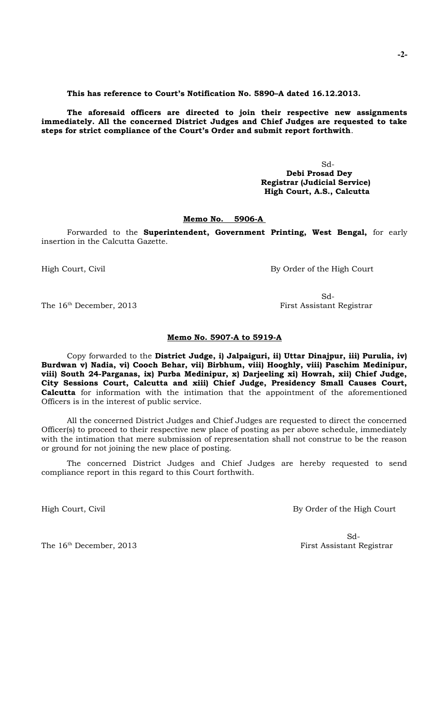**This has reference to Court's Notification No. 5890–A dated 16.12.2013.** 

**The aforesaid officers are directed to join their respective new assignments immediately. All the concerned District Judges and Chief Judges are requested to take steps for strict compliance of the Court's Order and submit report forthwith**.

> Sd-  **Debi Prosad Dey Registrar (Judicial Service) High Court, A.S., Calcutta**

### **Memo No. 5906-A**

Forwarded to the **Superintendent, Government Printing, West Bengal,** for early insertion in the Calcutta Gazette.

High Court, Civil By Order of the High Court

Sd-

The 16<sup>th</sup> December, 2013 First Assistant Registrar

**Memo No. 5907-A to 5919-A**

Copy forwarded to the **District Judge, i) Jalpaiguri, ii) Uttar Dinajpur, iii) Purulia, iv) Burdwan v) Nadia, vi) Cooch Behar, vii) Birbhum, viii) Hooghly, viii) Paschim Medinipur, viii) South 24-Parganas, ix) Purba Medinipur, x) Darjeeling xi) Howrah, xii) Chief Judge, City Sessions Court, Calcutta and xiii) Chief Judge, Presidency Small Causes Court, Calcutta** for information with the intimation that the appointment of the aforementioned Officers is in the interest of public service.

All the concerned District Judges and Chief Judges are requested to direct the concerned Officer(s) to proceed to their respective new place of posting as per above schedule, immediately with the intimation that mere submission of representation shall not construe to be the reason or ground for not joining the new place of posting.

The concerned District Judges and Chief Judges are hereby requested to send compliance report in this regard to this Court forthwith.

High Court, Civil By Order of the High Court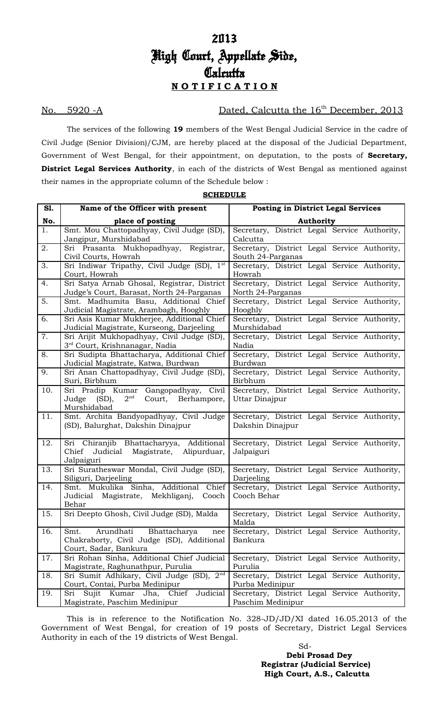No. 5920 -A Dated, Calcutta the 16<sup>th</sup> December, 2013

The services of the following **19** members of the West Bengal Judicial Service in the cadre of Civil Judge (Senior Division)/CJM, are hereby placed at the disposal of the Judicial Department, Government of West Bengal, for their appointment, on deputation, to the posts of **Secretary, District Legal Services Authority**, in each of the districts of West Bengal as mentioned against their names in the appropriate column of the Schedule below :

| <b>S1.</b> | Name of the Officer with present                                                                               | <b>Posting in District Legal Services</b>                         |  |
|------------|----------------------------------------------------------------------------------------------------------------|-------------------------------------------------------------------|--|
| No.        | place of posting                                                                                               | <b>Authority</b>                                                  |  |
| 1.         | Smt. Mou Chattopadhyay, Civil Judge (SD),<br>Jangipur, Murshidabad                                             | Secretary, District Legal Service Authority,<br>Calcutta          |  |
| 2.         | Sri Prasanta Mukhopadhyay, Registrar,<br>Civil Courts, Howrah                                                  | Secretary, District Legal Service Authority,<br>South 24-Parganas |  |
| 3.         | Sri Indiwar Tripathy, Civil Judge (SD), 1 <sup>st</sup><br>Court, Howrah                                       | Secretary, District Legal Service Authority,<br>Howrah            |  |
| 4.         | Sri Satya Arnab Ghosal, Registrar, District<br>Judge's Court, Barasat, North 24-Parganas                       | Secretary, District Legal Service Authority,<br>North 24-Parganas |  |
| 5.         | Smt. Madhumita Basu, Additional Chief<br>Judicial Magistrate, Arambagh, Hooghly                                | Secretary, District Legal Service Authority,<br>Hooghly           |  |
| 6.         | Sri Asis Kumar Mukherjee, Additional Chief<br>Judicial Magistrate, Kurseong, Darjeeling                        | Secretary, District Legal Service Authority,<br>Murshidabad       |  |
| 7.         | Sri Arijit Mukhopadhyay, Civil Judge (SD),<br>3 <sup>rd</sup> Court, Krishnanagar, Nadia                       | Secretary, District Legal Service Authority,<br>Nadia             |  |
| 8.         | Sri Sudipta Bhattacharya, Additional Chief<br>Judicial Magistrate, Katwa, Burdwan                              | Secretary, District Legal Service Authority,<br>Burdwan           |  |
| 9.         | Sri Anan Chattopadhyay, Civil Judge (SD),<br>Suri, Birbhum                                                     | Secretary, District Legal Service Authority,<br>Birbhum           |  |
| 10.        | Sri Pradip Kumar Gangopadhyay, Civil<br>2 <sup>nd</sup><br>Court, Berhampore,<br>Judge (SD),<br>Murshidabad    | Secretary, District Legal Service Authority,<br>Uttar Dinajpur    |  |
| 11.        | Smt. Archita Bandyopadhyay, Civil Judge<br>(SD), Balurghat, Dakshin Dinajpur                                   | Secretary, District Legal Service Authority,<br>Dakshin Dinajpur  |  |
| 12.        | Sri Chiranjib Bhattacharyya, Additional<br>Chief<br>Judicial Magistrate, Alipurduar,<br>Jalpaiguri             | Secretary, District Legal Service Authority,<br>Jalpaiguri        |  |
| 13.        | Sri Suratheswar Mondal, Civil Judge (SD),<br>Siliguri, Darjeeling                                              | Secretary, District Legal Service Authority,<br>Darjeeling        |  |
| 14.        | Smt. Mukulika Sinha, Additional Chief<br>Judicial Magistrate, Mekhliganj, Cooch<br>Behar                       | Secretary, District Legal Service Authority,<br>Cooch Behar       |  |
| 15.        | Sri Deepto Ghosh, Civil Judge (SD), Malda                                                                      | Secretary, District Legal Service Authority,<br>Malda             |  |
| 16.        | Arundhati<br>Bhattacharya<br>Smt.<br>nee<br>Chakraborty, Civil Judge (SD), Additional<br>Court, Sadar, Bankura | Secretary, District Legal Service Authority,<br>Bankura           |  |
| 17.        | Sri Rohan Sinha, Additional Chief Judicial<br>Magistrate, Raghunathpur, Purulia                                | Secretary, District Legal Service Authority,<br>Purulia           |  |
| 18.        | Sri Sumit Adhikary, Civil Judge (SD), 2 <sup>nd</sup><br>Court, Contai, Purba Medinipur                        | Secretary, District Legal Service Authority,<br>Purba Medinipur   |  |
| 19.        | Kumar Jha, Chief<br>Judicial<br>Sri Sujit<br>Magistrate, Paschim Medinipur                                     | Secretary, District Legal Service Authority,<br>Paschim Medinipur |  |

**SCHEDULE**

This is in reference to the Notification No. 328-JD/JD/XI dated 16.05.2013 of the Government of West Bengal, for creation of 19 posts of Secretary, District Legal Services Authority in each of the 19 districts of West Bengal.

 Sd-  **Debi Prosad Dey Registrar (Judicial Service) High Court, A.S., Calcutta**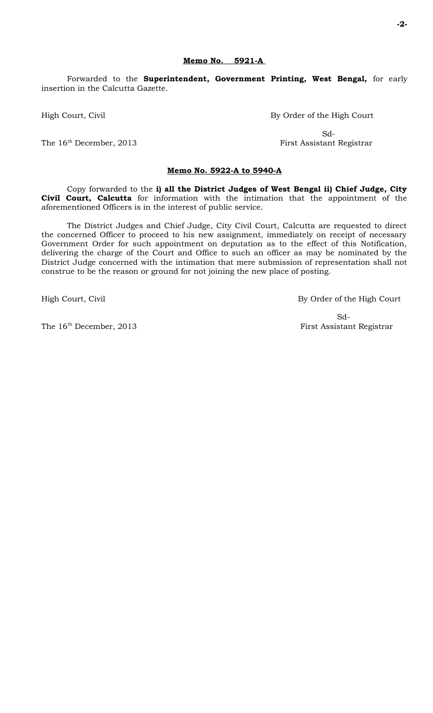Forwarded to the **Superintendent, Government Printing, West Bengal,** for early insertion in the Calcutta Gazette.

High Court, Civil By Order of the High Court

 Sd-The 16<sup>th</sup> December, 2013 First Assistant Registrar

#### **Memo No. 5922-A to 5940-A**

Copy forwarded to the **i) all the District Judges of West Bengal ii) Chief Judge, City Civil Court, Calcutta** for information with the intimation that the appointment of the aforementioned Officers is in the interest of public service.

The District Judges and Chief Judge, City Civil Court, Calcutta are requested to direct the concerned Officer to proceed to his new assignment, immediately on receipt of necessary Government Order for such appointment on deputation as to the effect of this Notification, delivering the charge of the Court and Office to such an officer as may be nominated by the District Judge concerned with the intimation that mere submission of representation shall not construe to be the reason or ground for not joining the new place of posting.

High Court, Civil By Order of the High Court

**-2-**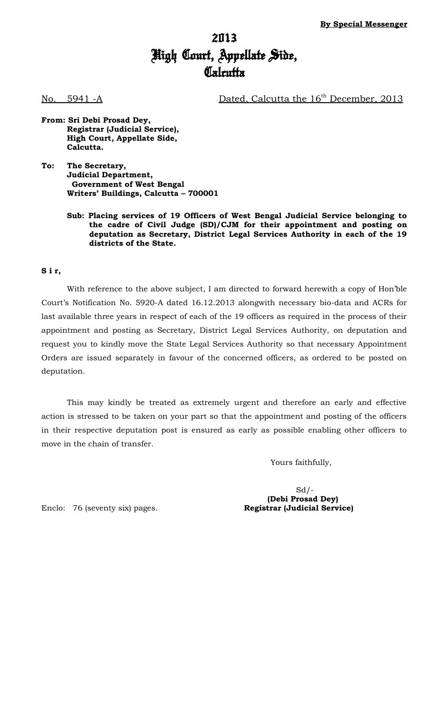## 2013 High Court, Appellate Side, **Calcutta**

No. 5941 -A Dated, Calcutta the 16<sup>th</sup> December, 2013

- **From: Sri Debi Prosad Dey, Registrar (Judicial Service), High Court, Appellate Side, Calcutta.**
- **To: The Secretary, Judicial Department, Government of West Bengal Writers' Buildings, Calcutta – 700001**
	- **Sub: Placing services of 19 Officers of West Bengal Judicial Service belonging to the cadre of Civil Judge (SD)/CJM for their appointment and posting on deputation as Secretary, District Legal Services Authority in each of the 19 districts of the State.**

#### **S i r,**

With reference to the above subject, I am directed to forward herewith a copy of Hon'ble Court's Notification No. 5920-A dated 16.12.2013 alongwith necessary bio-data and ACRs for last available three years in respect of each of the 19 officers as required in the process of their appointment and posting as Secretary, District Legal Services Authority, on deputation and request you to kindly move the State Legal Services Authority so that necessary Appointment Orders are issued separately in favour of the concerned officers, as ordered to be posted on deputation.

This may kindly be treated as extremely urgent and therefore an early and effective action is stressed to be taken on your part so that the appointment and posting of the officers in their respective deputation post is ensured as early as possible enabling other officers to move in the chain of transfer.

Yours faithfully,

 $Sd$  /-**(Debi Prosad Dey)**

Enclo: 76 (seventy six) pages. **Registrar (Judicial Service)**